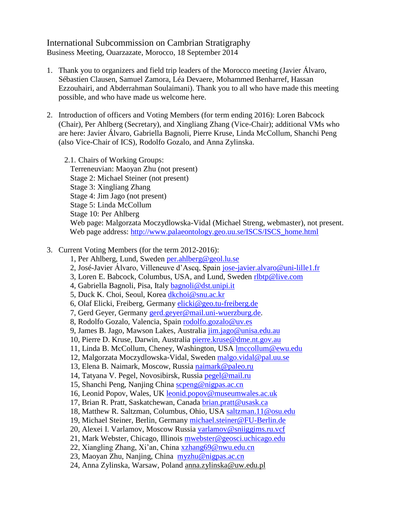## International Subcommission on Cambrian Stratigraphy Business Meeting, Ouarzazate, Morocco, 18 September 2014

- 1. Thank you to organizers and field trip leaders of the Morocco meeting (Javier Álvaro, Sébastien Clausen, Samuel Zamora, Léa Devaere, Mohammed Benharref, Hassan Ezzouhairi, and Abderrahman Soulaimani). Thank you to all who have made this meeting possible, and who have made us welcome here.
- 2. Introduction of officers and Voting Members (for term ending 2016): Loren Babcock (Chair), Per Ahlberg (Secretary), and Xingliang Zhang (Vice-Chair); additional VMs who are here: Javier Álvaro, Gabriella Bagnoli, Pierre Kruse, Linda McCollum, Shanchi Peng (also Vice-Chair of ICS), Rodolfo Gozalo, and Anna Zylinska.

2.1. Chairs of Working Groups: Terreneuvian: Maoyan Zhu (not present) Stage 2: Michael Steiner (not present) Stage 3: Xingliang Zhang Stage 4: Jim Jago (not present) Stage 5: Linda McCollum Stage 10: Per Ahlberg Web page: Malgorzata Moczydlowska-Vidal (Michael Streng, webmaster), not present. Web page address: [http://www.palaeontology.geo.uu.se/ISCS/ISCS\\_home.html](http://www.palaeontology.geo.uu.se/ISCS/ISCS_home.html)

- 3. Current Voting Members (for the term 2012-2016):
	- 1, Per Ahlberg, Lund, Sweden [per.ahlberg@geol.lu.se](mailto:per.ahlberg@geol.lu.se)
	- 2, José-Javier Álvaro, Villeneuve d'Ascq, Spain [jose-javier.alvaro@uni-lille1.fr](mailto:jose-javier.alvaro@uni-lille1.fr)
	- 3, Loren E. Babcock, Columbus, USA, and Lund, Sweden [rlbtp@live.com](mailto:loren.babcock@geol.lu.se)
	- 4, Gabriella Bagnoli, Pisa, Italy [bagnoli@dst.unipi.it](mailto:bagnoli@dst.unipi.it)
	- 5, Duck K. Choi, Seoul, Korea [dkchoi@snu.ac.kr](mailto:dkchoi@snu.ac.kr)
	- 6, Olaf Elicki, Freiberg, Germany [elicki@geo.tu-freiberg.de](mailto:elicki@geo.tu-freiberg.de)
	- 7, Gerd Geyer, Germany [gerd.geyer@mail.uni-wuerzburg.de.](mailto:gerd.geyer@mail.uni-wuerzburg.de)
	- 8, Rodolfo Gozalo, Valencia, Spain [rodolfo.gozalo@uv.es](mailto:rodolfo.gozalo@uv.es)
	- 9, James B. Jago, Mawson Lakes, Australia [jim.jago@unisa.edu.au](mailto:jim.jago@unisa.edu.au)
	- 10, Pierre D. Kruse, Darwin, Australia [pierre.kruse@dme.nt.gov.au](mailto:pierre.kruse@dme.nt.gov.au)
	- 11, Linda B. McCollum, Cheney, Washington, USA [lmccollum@ewu.edu](mailto:lmccollum@ewu.edu)
	- 12, Malgorzata Moczydlowska-Vidal, Sweden [malgo.vidal@pal.uu.se](mailto:malgo.vidal@pal.uu.se)
	- 13, Elena B. Naimark, Moscow, Russia [naimark@paleo.ru](mailto:naimark@paleo.ru)
	- 14, Tatyana V. Pegel, Novosibirsk, Russia [pegel@mail.ru](mailto:pegel@mail.ru)
	- 15, Shanchi Peng, Nanjing China [scpeng@nigpas.ac.cn](mailto:scpeng@nigpas.ac.cn)
	- 16, Leonid Popov, Wales, UK leonid.popov@museumwales.ac.uk
	- 17, Brian R. Pratt, Saskatchewan, Canada [brian.pratt@usask.ca](mailto:brian.pratt@usask.ca)
	- 18, Matthew R. Saltzman, Columbus, Ohio, USA [saltzman.11@osu.edu](mailto:saltzman.11@osu.edu)
	- 19, Michael Steiner, Berlin, Germany [michael.steiner@FU-Berlin.de](mailto:michael.steiner@FU-Berlin.de)
	- 20, Alexei I. Varlamov, Moscow Russia [varlamov@sniiggims.ru.vcf](mailto:varlamov@sniiggims.ru.vcf)
	- 21, Mark Webster, Chicago, Illinois [mwebster@geosci.uchicago.edu](mailto:mwebster@geosci.uchicago.edu)
	- 22, Xiangling Zhang, Xi'an, China [xzhang69@nwu.edu.cn](mailto:xzhang69@nwu.edu.cn)
	- 23, Maoyan Zhu, Nanjing, China [myzhu@nigpas.ac.cn](mailto:myzhu@nigpas.ac.cn)
	- 24, Anna Zylinska, Warsaw, Poland anna.zylinska@uw.edu.pl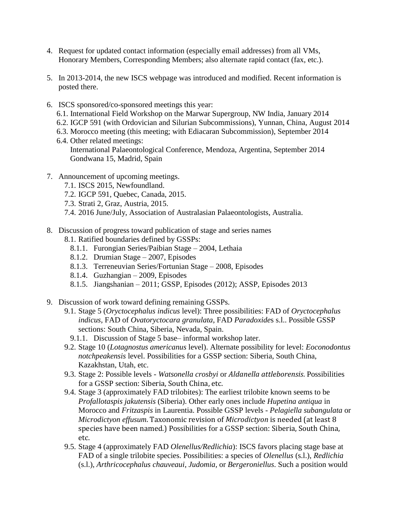- 4. Request for updated contact information (especially email addresses) from all VMs, Honorary Members, Corresponding Members; also alternate rapid contact (fax, etc.).
- 5. In 2013-2014, the new ISCS webpage was introduced and modified. Recent information is posted there.
- 6. ISCS sponsored/co-sponsored meetings this year:
	- 6.1. International Field Workshop on the Marwar Supergroup, NW India, January 2014
	- 6.2. IGCP 591 (with Ordovician and Silurian Subcommissions), Yunnan, China, August 2014
	- 6.3. Morocco meeting (this meeting; with Ediacaran Subcommission), September 2014
	- 6.4. Other related meetings: International Palaeontological Conference, Mendoza, Argentina, September 2014 Gondwana 15, Madrid, Spain
- 7. Announcement of upcoming meetings.
	- 7.1. ISCS 2015, Newfoundland.
	- 7.2. IGCP 591, Quebec, Canada, 2015.
	- 7.3. Strati 2, Graz, Austria, 2015.
	- 7.4. 2016 June/July, Association of Australasian Palaeontologists, Australia.
- 8. Discussion of progress toward publication of stage and series names
	- 8.1. Ratified boundaries defined by GSSPs:
		- 8.1.1. Furongian Series/Paibian Stage 2004, Lethaia
		- 8.1.2. Drumian Stage 2007, Episodes
		- 8.1.3. Terreneuvian Series/Fortunian Stage 2008, Episodes
		- 8.1.4. Guzhangian 2009, Episodes
		- 8.1.5. Jiangshanian 2011; GSSP, Episodes (2012); ASSP, Episodes 2013
- 9. Discussion of work toward defining remaining GSSPs.
	- 9.1. Stage 5 (*Oryctocephalus indicus* level): Three possibilities: FAD of *Oryctocephalus indicus,* FAD of *Ovatoryctocara granulata*, FAD *Paradoxide*s s.l.. Possible GSSP sections: South China, Siberia, Nevada, Spain.
		- 9.1.1. Discussion of Stage 5 base– informal workshop later.
	- 9.2. Stage 10 (*Lotagnostus americanus* level). Alternate possibility for level: *Eoconodontus notchpeakensis* level. Possibilities for a GSSP section: Siberia, South China, Kazakhstan, Utah, etc.
	- 9.3. Stage 2: Possible levels *Watsonella crosbyi* or *Aldanella attleborensis*. Possibilities for a GSSP section: Siberia, South China, etc.
	- 9.4. Stage 3 (approximately FAD trilobites): The earliest trilobite known seems to be *Profallotaspis jakutensis* (Siberia). Other early ones include *Hupetina antiqua* in Morocco and *Fritzaspis* in Laurentia. Possible GSSP levels - *Pelagiella subangulata* or *Microdictyon effusum*. Taxonomic revision of *Microdictyon* is needed (at least 8 species have been named.) Possibilities for a GSSP section: Siberia, South China, etc.
	- 9.5. Stage 4 (approximately FAD *Olenellus/Redlichia*): ISCS favors placing stage base at FAD of a single trilobite species. Possibilities: a species of *Olenellus* (s.l.), *Redlichia* (s.l.), *Arthricocephalus chauveaui*, *Judomia,* or *Bergeroniellus*. Such a position would